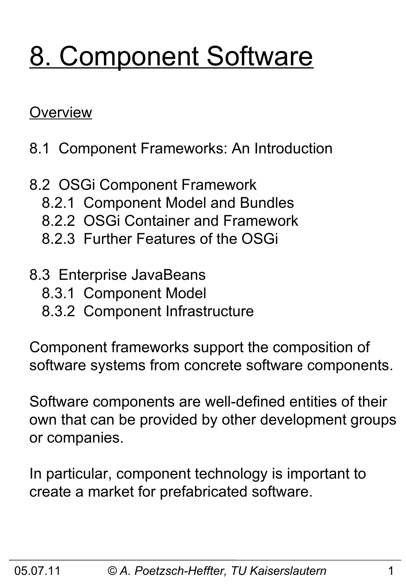# 8. Component Software

#### **Overview**

- 8.1 Component Frameworks: An Introduction
- 8.2 OSGi Component Framework
	- 8.2.1 Component Model and Bundles
	- 8.2.2 OSGi Container and Framework
	- 8.2.3 Further Features of the OSGi
- 8.3 Enterprise JavaBeans
	- 8.3.1 Component Model
	- 8.3.2 Component Infrastructure

Component frameworks support the composition of software systems from concrete software components.

Software components are well-defined entities of their own that can be provided by other development groups or companies.

In particular, component technology is important to create a market for prefabricated software.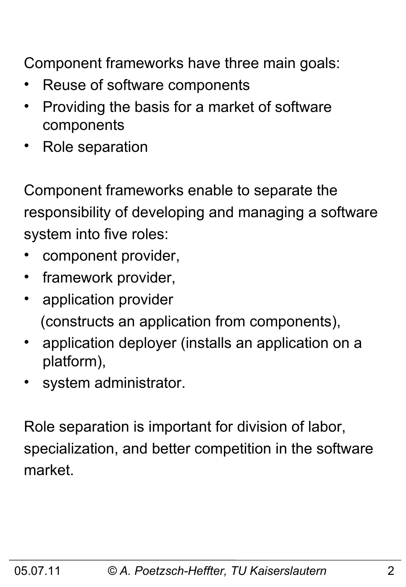Component frameworks have three main goals:

- Reuse of software components
- Providing the basis for a market of software components
- Role separation

Component frameworks enable to separate the responsibility of developing and managing a software system into five roles:

- component provider,
- framework provider,
- application provider (constructs an application from components),
- application deployer (installs an application on a platform),
- system administrator.

Role separation is important for division of labor, specialization, and better competition in the software market.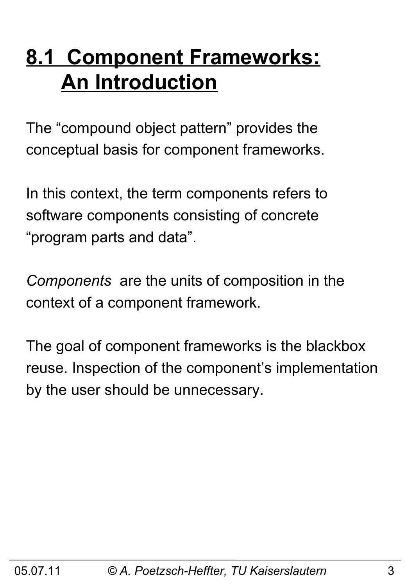## **8.1 Component Frameworks: An Introduction**

The "compound object pattern" provides the conceptual basis for component frameworks.

In this context, the term components refers to software components consisting of concrete "program parts and data".

*Components* are the units of composition in the context of a component framework.

The goal of component frameworks is the blackbox reuse. Inspection of the component's implementation by the user should be unnecessary.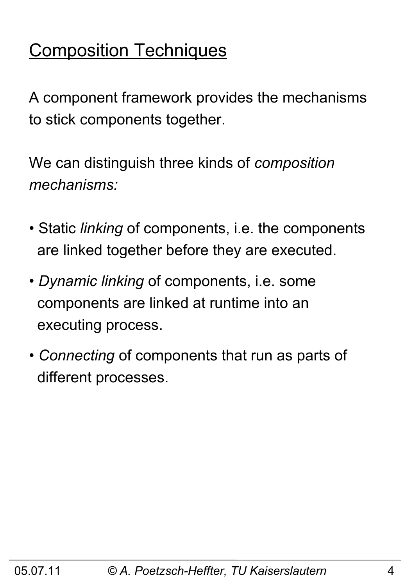## Composition Techniques

A component framework provides the mechanisms to stick components together.

We can distinguish three kinds of *composition mechanisms:*

- Static *linking* of components, i.e. the components are linked together before they are executed.
- *Dynamic linking* of components, i.e. some components are linked at runtime into an executing process.
- *Connecting* of components that run as parts of different processes.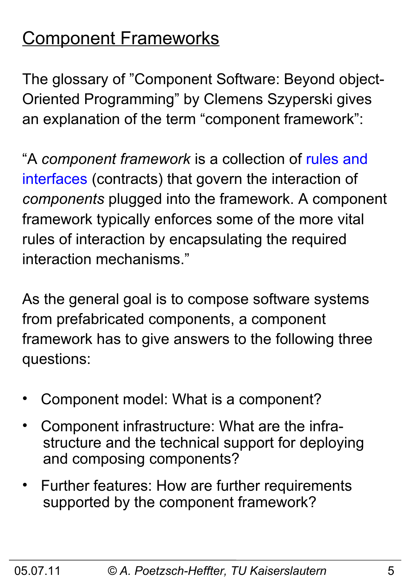## Component Frameworks

The glossary of "Component Software: Beyond object-Oriented Programming" by Clemens Szyperski gives an explanation of the term "component framework":

"A *component framework* is a collection of rules and interfaces (contracts) that govern the interaction of *components* plugged into the framework. A component framework typically enforces some of the more vital rules of interaction by encapsulating the required interaction mechanisms."

As the general goal is to compose software systems from prefabricated components, a component framework has to give answers to the following three questions:

- Component model: What is a component?
- Component infrastructure: What are the infra structure and the technical support for deploying and composing components?
- Further features: How are further requirements supported by the component framework?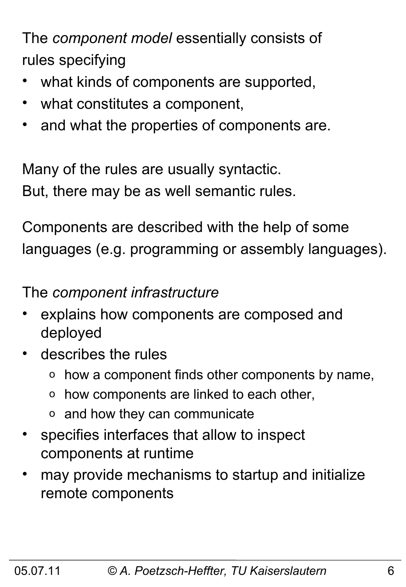The *component model* essentially consists of rules specifying

- what kinds of components are supported,
- what constitutes a component,
- and what the properties of components are.

Many of the rules are usually syntactic. But, there may be as well semantic rules.

Components are described with the help of some languages (e.g. programming or assembly languages).

The *component infrastructure*

- explains how components are composed and deployed
- describes the rules
	- o how a component finds other components by name,
	- o how components are linked to each other,
	- o and how they can communicate
- specifies interfaces that allow to inspect components at runtime
- may provide mechanisms to startup and initialize remote components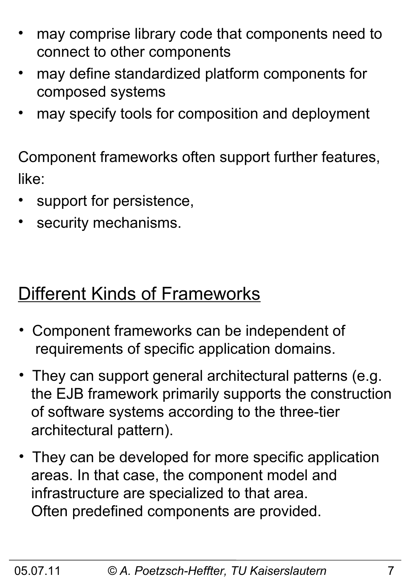- may comprise library code that components need to connect to other components
- may define standardized platform components for composed systems
- may specify tools for composition and deployment

Component frameworks often support further features, like:

- support for persistence,
- security mechanisms.

### Different Kinds of Frameworks

- Component frameworks can be independent of requirements of specific application domains.
- They can support general architectural patterns (e.g. the EJB framework primarily supports the construction of software systems according to the three-tier architectural pattern).
- They can be developed for more specific application areas. In that case, the component model and infrastructure are specialized to that area. Often predefined components are provided.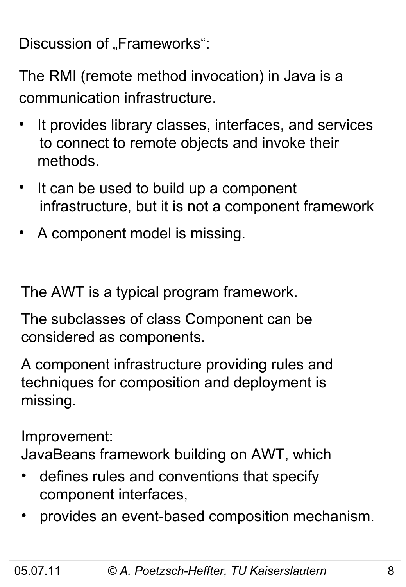#### Discussion of "Frameworks":

The RMI (remote method invocation) in Java is a communication infrastructure.

- It provides library classes, interfaces, and services to connect to remote objects and invoke their methods.
- It can be used to build up a component infrastructure, but it is not a component framework
- A component model is missing.

The AWT is a typical program framework.

The subclasses of class Component can be considered as components.

A component infrastructure providing rules and techniques for composition and deployment is missing.

Improvement:

JavaBeans framework building on AWT, which

- defines rules and conventions that specify component interfaces,
- provides an event-based composition mechanism.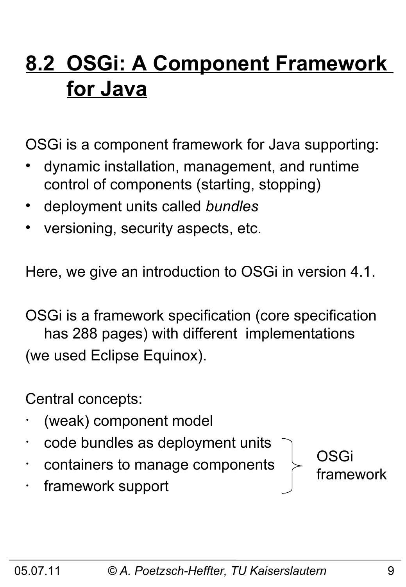## **8.2 OSGi: A Component Framework for Java**

OSGi is a component framework for Java supporting:

- dynamic installation, management, and runtime control of components (starting, stopping)
- deployment units called *bundles*
- versioning, security aspects, etc.

Here, we give an introduction to OSGi in version 4.1.

OSGi is a framework specification (core specification has 288 pages) with different implementations (we used Eclipse Equinox).

Central concepts:

- (weak) component model
- code bundles as deployment units
- containers to manage components
- framework support

05.07.11 *© A. Poetzsch-Heffter, TU Kaiserslautern* 9

OSGi

framework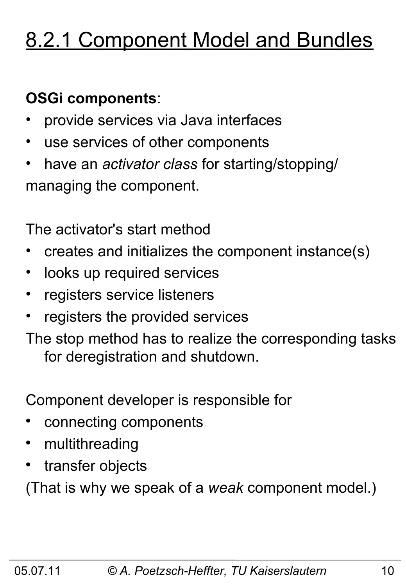## 8.2.1 Component Model and Bundles

#### **OSGi components**:

- provide services via Java interfaces
- use services of other components
- have an *activator class* for starting/stopping/ managing the component.

The activator's start method

- creates and initializes the component instance(s)
- looks up required services
- registers service listeners
- registers the provided services

The stop method has to realize the corresponding tasks for deregistration and shutdown.

Component developer is responsible for

- connecting components
- multithreading
- transfer objects

(That is why we speak of a *weak* component model.)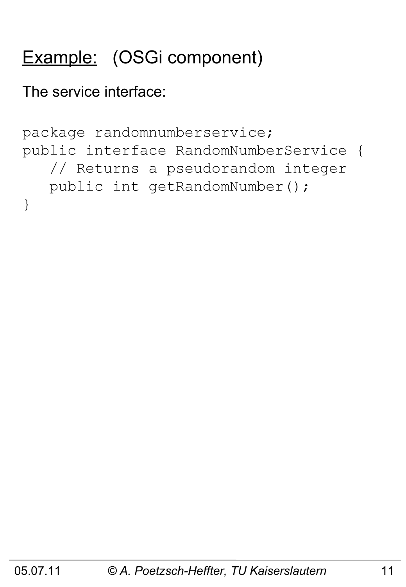## Example: (OSGi component)

The service interface:

```
package randomnumberservice;
public interface RandomNumberService {
    // Returns a pseudorandom integer
    public int getRandomNumber();
}
```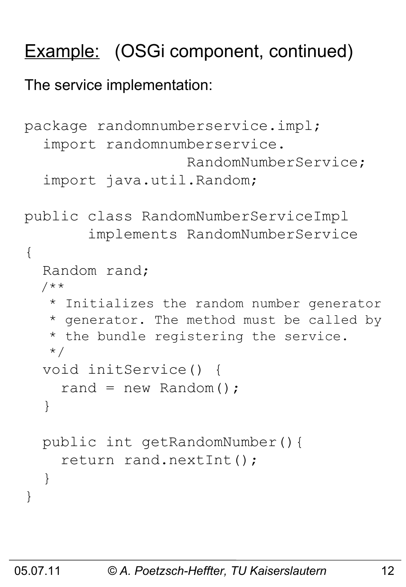## Example: (OSGi component, continued)

#### The service implementation:

```
package randomnumberservice.impl;
   import randomnumberservice.
                     RandomNumberService;
   import java.util.Random;
public class RandomNumberServiceImpl 
        implements RandomNumberService
{
   Random rand;
   /**
    * Initializes the random number generator
    * generator. The method must be called by
    * the bundle registering the service.
    */
   void initService() { 
    rand = new Random();
   }
   public int getRandomNumber(){ 
     return rand.nextInt();
   }
}
```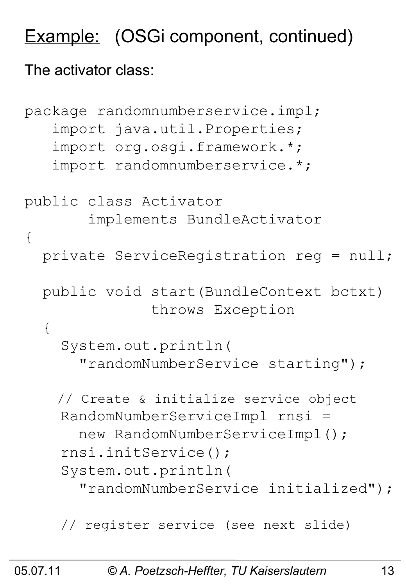## Example: (OSGi component, continued)

#### The activator class:

```
package randomnumberservice.impl;
    import java.util.Properties;
    import org.osgi.framework.*;
    import randomnumberservice.*;
public class Activator 
        implements BundleActivator
{
   private ServiceRegistration reg = null;
   public void start(BundleContext bctxt) 
                throws Exception
   {
     System.out.println(
       "randomNumberService starting"); 
     // Create & initialize service object
     RandomNumberServiceImpl rnsi = 
       new RandomNumberServiceImpl();
     rnsi.initService();
     System.out.println(
       "randomNumberService initialized");
     // register service (see next slide)
```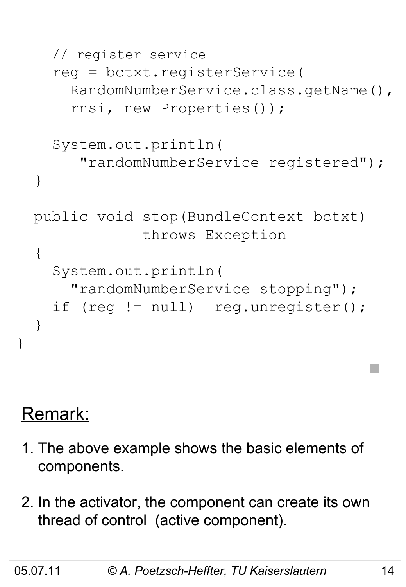```
 // register service
   reg = bctxt.registerService(
     RandomNumberService.class.getName(),
     rnsi, new Properties());
   System.out.println(
      "randomNumberService registered");
 }
 public void stop(BundleContext bctxt)
              throws Exception
\{ System.out.println(
     "randomNumberService stopping");
  if (reg != null) reg.unregister();
 }
```
### Remark:

}

- 1. The above example shows the basic elements of components.
- 2. In the activator, the component can create its own thread of control (active component).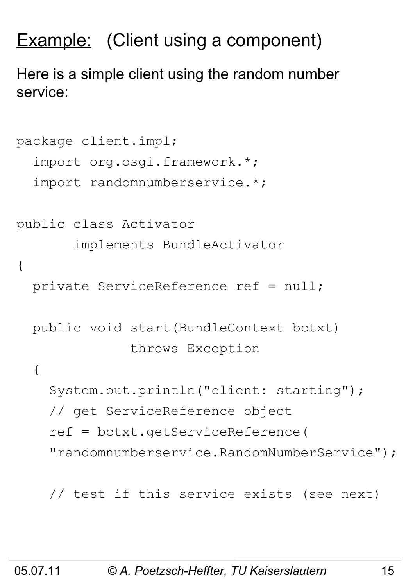## **Example:** (Client using a component)

Here is a simple client using the random number service:

```
package client.impl;
   import org.osgi.framework.*;
   import randomnumberservice.*;
public class Activator 
        implements BundleActivator
{
   private ServiceReference ref = null;
   public void start(BundleContext bctxt)
                throws Exception
   {
     System.out.println("client: starting");
     // get ServiceReference object
     ref = bctxt.getServiceReference(
     "randomnumberservice.RandomNumberService");
```
// test if this service exists (see next)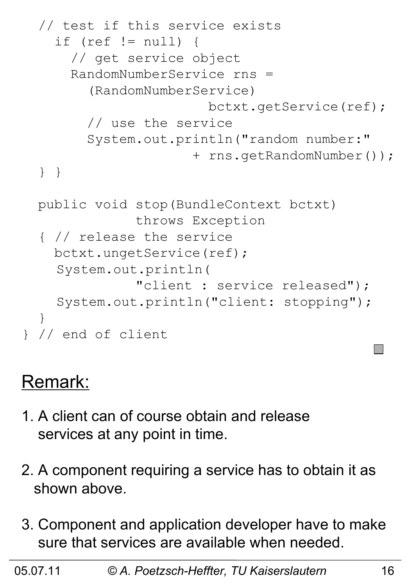```
 // test if this service exists 
     if (ref != null) {
       // get service object
       RandomNumberService rns = 
         (RandomNumberService)
                         bctxt.getService(ref);
         // use the service
         System.out.println("random number:"
                       + rns.getRandomNumber());
   } }
  public void stop(BundleContext bctxt) 
                throws Exception
   { // release the service
     bctxt.ungetService(ref);
    System.out.println(
                "client : service released");
    System.out.println("client: stopping");
   }
} // end of client
```
### Remark:

- 1. A client can of course obtain and release services at any point in time.
- 2. A component requiring a service has to obtain it as shown above.
- 3. Component and application developer have to make sure that services are available when needed.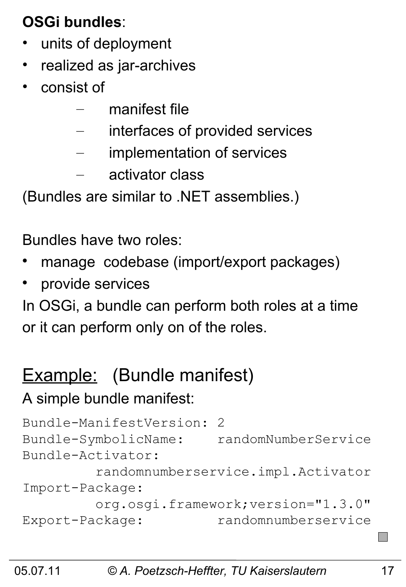#### **OSGi bundles**:

- units of deployment
- realized as jar-archives
- consist of
	- manifest file
	- interfaces of provided services
	- implementation of services
	- activator class

(Bundles are similar to .NET assemblies.)

Bundles have two roles:

- manage codebase (import/export packages)
- provide services

In OSGi, a bundle can perform both roles at a time or it can perform only on of the roles.

## Example: (Bundle manifest)

#### A simple bundle manifest:

```
Bundle-ManifestVersion: 2
Bundle-SymbolicName: randomNumberService
Bundle-Activator: 
          randomnumberservice.impl.Activator
Import-Package:
         org.osgi.framework;version="1.3.0"
Export-Package: randomnumberservice
```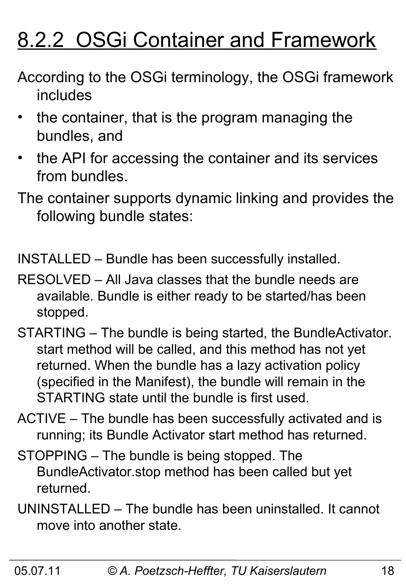## 8.2.2 OSGi Container and Framework

- According to the OSGi terminology, the OSGi framework includes
- the container, that is the program managing the bundles, and
- the API for accessing the container and its services from bundles.
- The container supports dynamic linking and provides the following bundle states:

INSTALLED – Bundle has been successfully installed.

- RESOLVED All Java classes that the bundle needs are available. Bundle is either ready to be started/has been stopped.
- STARTING The bundle is being started, the BundleActivator. start method will be called, and this method has not yet returned. When the bundle has a lazy activation policy (specified in the Manifest), the bundle will remain in the STARTING state until the bundle is first used.
- ACTIVE The bundle has been successfully activated and is running; its Bundle Activator start method has returned.
- STOPPING The bundle is being stopped. The BundleActivator.stop method has been called but yet returned.
- UNINSTALLED The bundle has been uninstalled. It cannot move into another state.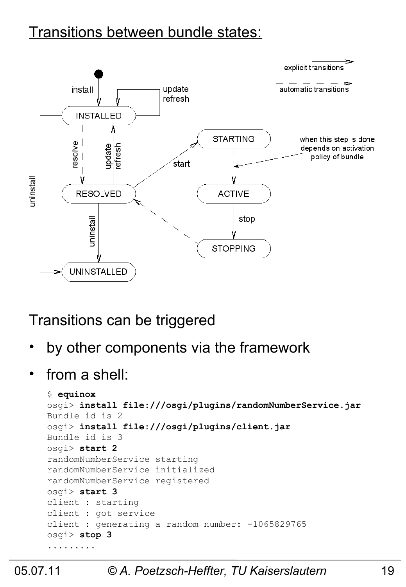#### Transitions between bundle states:



#### Transitions can be triggered

- by other components via the framework
- from a shell:

```
$ equinox
osgi> install file:///osgi/plugins/randomNumberService.jar
Bundle id is 2
osgi> install file:///osgi/plugins/client.jar
Bundle id is 3
osgi> start 2
randomNumberService starting
randomNumberService initialized
randomNumberService registered
osgi> start 3
client : starting
client : got service
client : generating a random number: -1065829765
osgi> stop 3
.........
```
#### 05.07.11 *© A. Poetzsch-Heffter, TU Kaiserslautern* 19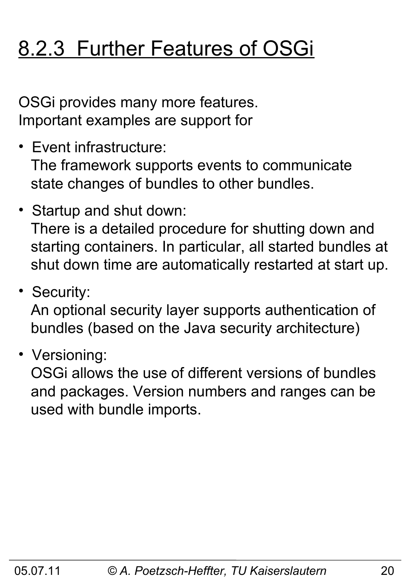## 8.2.3 Further Features of OSGi

OSGi provides many more features. Important examples are support for

- Event infrastructure: The framework supports events to communicate state changes of bundles to other bundles.
- Startup and shut down: There is a detailed procedure for shutting down and starting containers. In particular, all started bundles at shut down time are automatically restarted at start up.
- Security:

 An optional security layer supports authentication of bundles (based on the Java security architecture)

• Versioning:

 OSGi allows the use of different versions of bundles and packages. Version numbers and ranges can be used with bundle imports.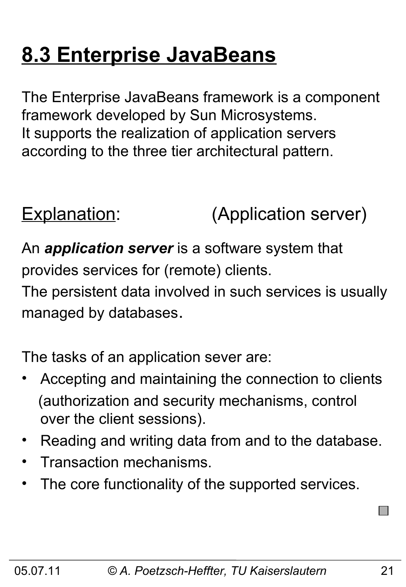## **8.3 Enterprise JavaBeans**

The Enterprise JavaBeans framework is a component framework developed by Sun Microsystems. It supports the realization of application servers according to the three tier architectural pattern.

### Explanation: (Application server)

An *application server* is a software system that provides services for (remote) clients.

The persistent data involved in such services is usually managed by databases.

The tasks of an application sever are:

- Accepting and maintaining the connection to clients (authorization and security mechanisms, control over the client sessions).
- Reading and writing data from and to the database.
- Transaction mechanisms.
- The core functionality of the supported services.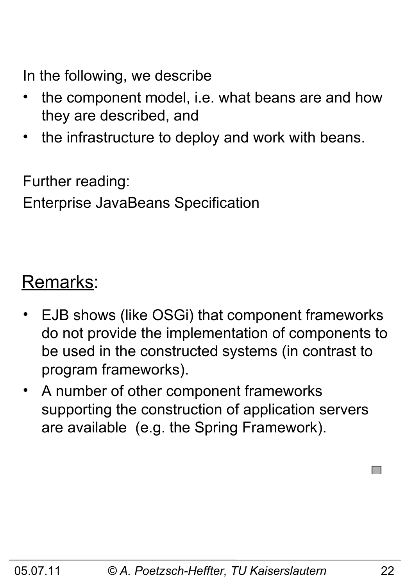In the following, we describe

- the component model, i.e. what beans are and how they are described, and
- the infrastructure to deploy and work with beans.

Further reading:

Enterprise JavaBeans Specification

#### Remarks:

- EJB shows (like OSGi) that component frameworks do not provide the implementation of components to be used in the constructed systems (in contrast to program frameworks).
- A number of other component frameworks supporting the construction of application servers are available (e.g. the Spring Framework).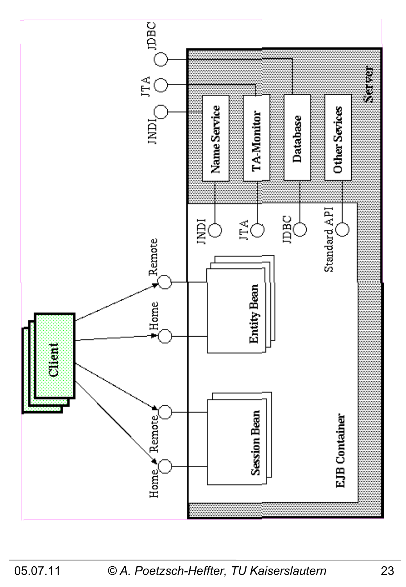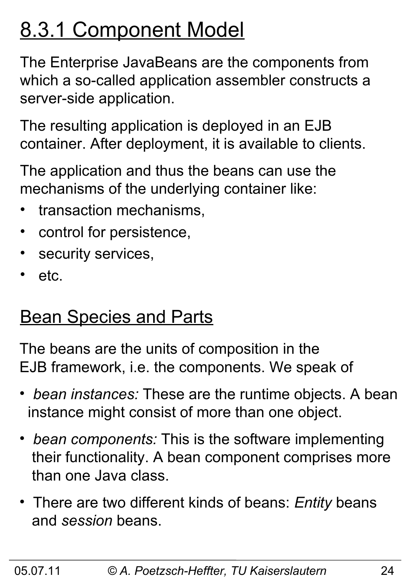## 8.3.1 Component Model

The Enterprise JavaBeans are the components from which a so-called application assembler constructs a server-side application.

The resulting application is deployed in an EJB container. After deployment, it is available to clients.

The application and thus the beans can use the mechanisms of the underlying container like:

- transaction mechanisms,
- control for persistence,
- security services,
- etc.

## **Bean Species and Parts**

The beans are the units of composition in the EJB framework, i.e. the components. We speak of

- • *bean instances:* These are the runtime objects. A bean instance might consist of more than one object.
- • *bean components:* This is the software implementing their functionality. A bean component comprises more than one Java class.
- There are two different kinds of beans: *Entity* beans and *session* beans.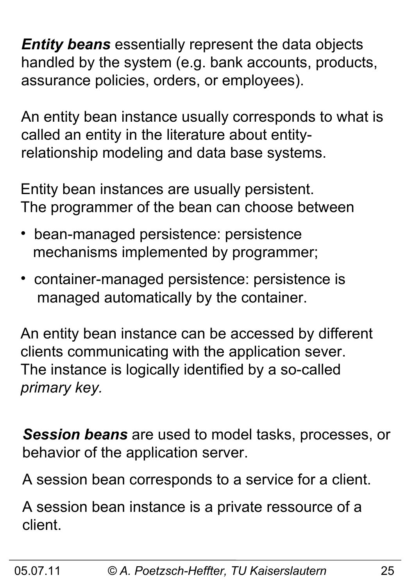*Entity beans* essentially represent the data objects handled by the system (e.g. bank accounts, products, assurance policies, orders, or employees).

An entity bean instance usually corresponds to what is called an entity in the literature about entityrelationship modeling and data base systems.

Entity bean instances are usually persistent. The programmer of the bean can choose between

- bean-managed persistence: persistence mechanisms implemented by programmer;
- container-managed persistence: persistence is managed automatically by the container.

An entity bean instance can be accessed by different clients communicating with the application sever. The instance is logically identified by a so-called *primary key.*

*Session beans* are used to model tasks, processes, or behavior of the application server.

A session bean corresponds to a service for a client.

A session bean instance is a private ressource of a client.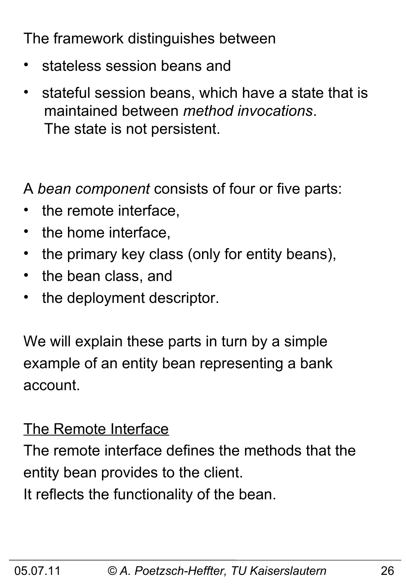The framework distinguishes between

- stateless session beans and
- stateful session beans, which have a state that is maintained between *method invocations*. The state is not persistent.

A *bean component* consists of four or five parts:

- the remote interface,
- the home interface,
- the primary key class (only for entity beans),
- the bean class, and
- the deployment descriptor.

We will explain these parts in turn by a simple example of an entity bean representing a bank account.

#### The Remote Interface

The remote interface defines the methods that the entity bean provides to the client. It reflects the functionality of the bean.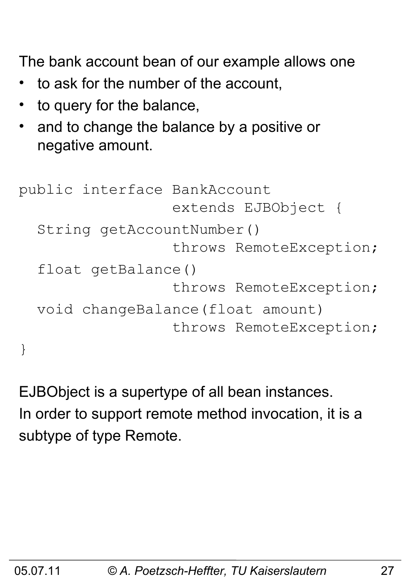The bank account bean of our example allows one

- to ask for the number of the account,
- to query for the balance,
- and to change the balance by a positive or negative amount.

```
public interface BankAccount 
                   extends EJBObject {
   String getAccountNumber()
                   throws RemoteException;
   float getBalance() 
                   throws RemoteException;
   void changeBalance(float amount) 
                   throws RemoteException;
}
```
EJBObject is a supertype of all bean instances. In order to support remote method invocation, it is a subtype of type Remote.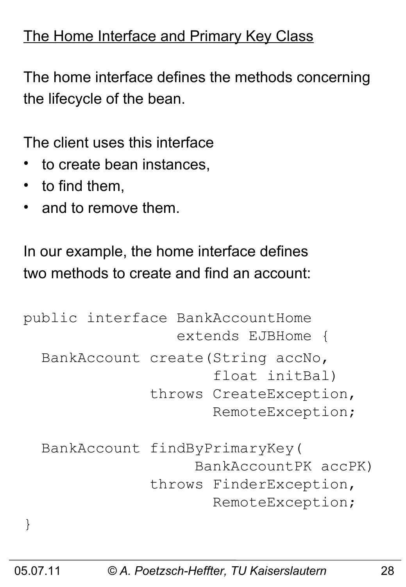#### The Home Interface and Primary Key Class

The home interface defines the methods concerning the lifecycle of the bean.

The client uses this interface

- to create bean instances.
- to find them,
- and to remove them.

In our example, the home interface defines two methods to create and find an account:

```
public interface BankAccountHome 
                   extends EJBHome {
   BankAccount create(String accNo, 
                        float initBal)
                throws CreateException, 
                        RemoteException;
   BankAccount findByPrimaryKey(
                      BankAccountPK accPK)
                throws FinderException, 
                        RemoteException;
}
```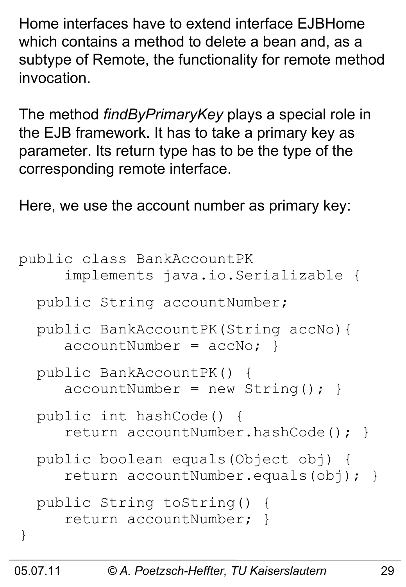Home interfaces have to extend interface EJBHome which contains a method to delete a bean and, as a subtype of Remote, the functionality for remote method invocation.

The method *findByPrimaryKey* plays a special role in the EJB framework. It has to take a primary key as parameter. Its return type has to be the type of the corresponding remote interface.

Here, we use the account number as primary key:

```
public class BankAccountPK 
      implements java.io.Serializable {
   public String accountNumber;
   public BankAccountPK(String accNo){ 
     accountNumber = accNo;}
   public BankAccountPK() { 
     accountNumber = new String(); }
   public int hashCode() {
      return accountNumber.hashCode(); }
   public boolean equals(Object obj) {
      return accountNumber.equals(obj); }
   public String toString() { 
      return accountNumber; }
}
```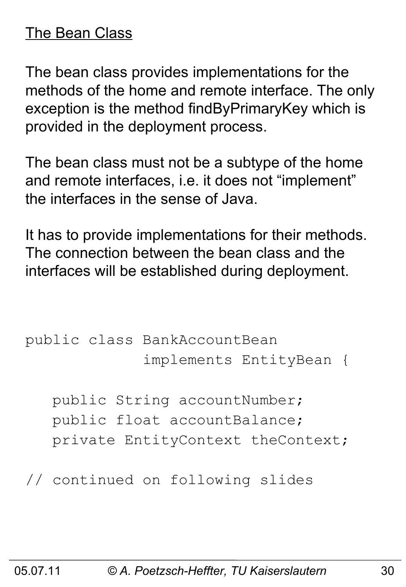#### The Bean Class

The bean class provides implementations for the methods of the home and remote interface. The only exception is the method findByPrimaryKey which is provided in the deployment process.

The bean class must not be a subtype of the home and remote interfaces, i.e. it does not "implement" the interfaces in the sense of Java.

It has to provide implementations for their methods. The connection between the bean class and the interfaces will be established during deployment.

```
public class BankAccountBean 
               implements EntityBean {
```
 public String accountNumber; public float accountBalance; private EntityContext theContext;

// continued on following slides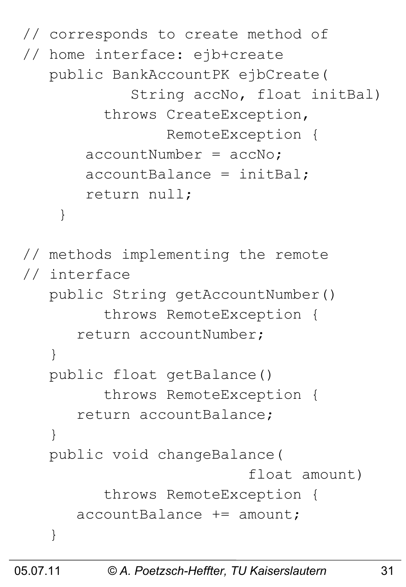```
// corresponds to create method of 
// home interface: ejb+create
    public BankAccountPK ejbCreate(
              String accNo, float initBal)
          throws CreateException, 
                  RemoteException {
       acccountNumber = accNo; accountBalance = initBal;
        return null;
     }
// methods implementing the remote
// interface
    public String getAccountNumber()
          throws RemoteException {
       return accountNumber;
    }
    public float getBalance() 
          throws RemoteException {
       return accountBalance;
 }
    public void changeBalance(
                            float amount) 
          throws RemoteException {
       accountBalance += amount;
    }
```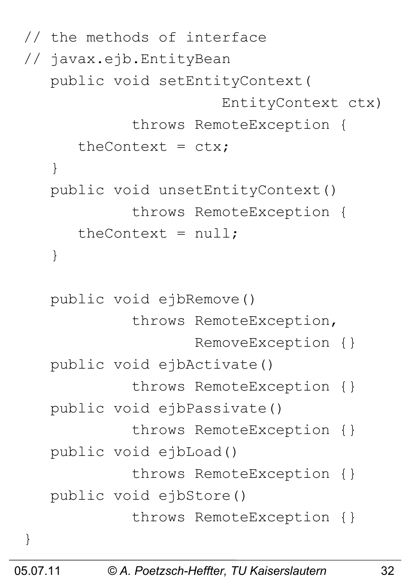```
// the methods of interface 
// javax.ejb.EntityBean
    public void setEntityContext(
                         EntityContext ctx)
              throws RemoteException {
      theContext = ctx;
    }
    public void unsetEntityContext()
              throws RemoteException {
      theContext = null; }
    public void ejbRemove() 
              throws RemoteException, 
                     RemoveException {}
    public void ejbActivate()
              throws RemoteException {}
    public void ejbPassivate() 
              throws RemoteException {}
    public void ejbLoad() 
              throws RemoteException {}
    public void ejbStore() 
              throws RemoteException {}
}
```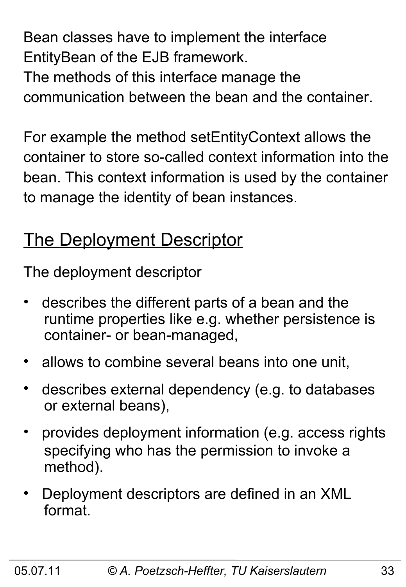Bean classes have to implement the interface EntityBean of the EJB framework. The methods of this interface manage the

communication between the bean and the container.

For example the method setEntityContext allows the container to store so-called context information into the bean. This context information is used by the container to manage the identity of bean instances.

### The Deployment Descriptor

The deployment descriptor

- describes the different parts of a bean and the runtime properties like e.g. whether persistence is container- or bean-managed,
- allows to combine several beans into one unit,
- describes external dependency (e.g. to databases or external beans),
- provides deployment information (e.g. access rights specifying who has the permission to invoke a method).
- Deployment descriptors are defined in an XML format.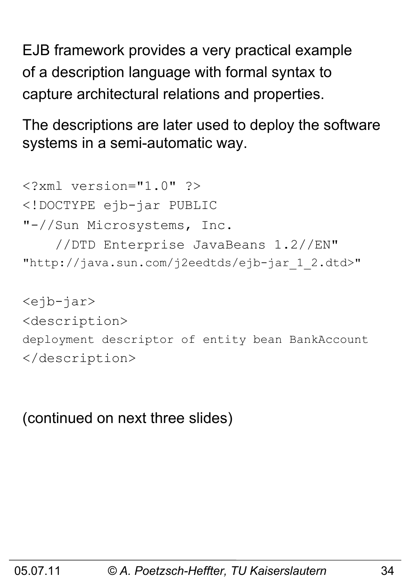EJB framework provides a very practical example of a description language with formal syntax to capture architectural relations and properties.

The descriptions are later used to deploy the software systems in a semi-automatic way.

<?xml version="1.0" ?> <!DOCTYPE ejb-jar PUBLIC "-//Sun Microsystems, Inc. //DTD Enterprise JavaBeans 1.2//EN" "http://java.sun.com/j2eedtds/ejb-jar\_1\_2.dtd>"

<ejb-jar> <description> deployment descriptor of entity bean BankAccount </description>

(continued on next three slides)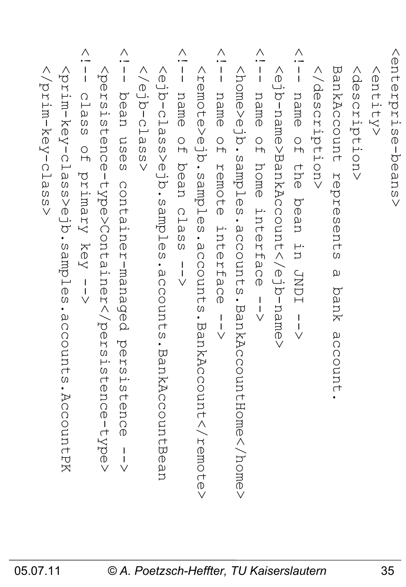| venterprise-beans<br>AQ<br>@<br><entity><br/>S<br/>C<br/>ription&gt;<br/><math>\overline{\vee}</math></entity>                                                         |
|------------------------------------------------------------------------------------------------------------------------------------------------------------------------|
| BankAccount<br>represents<br>$\omega$<br>bank<br>accou<br>Ц                                                                                                            |
|                                                                                                                                                                        |
| Λ<br>$\frac{1}{1}$<br>name<br>$\frac{0}{1}$<br><b>Uhe</b><br>hean<br>in.<br>TUNDI<br>$\frac{1}{\sqrt{ }}$                                                              |
| <ejb-name>BankAccount</ejb-name>                                                                                                                                       |
| Λ<br>$\frac{1}{1}$<br>name<br>$\circ$<br>$\overline{\phantom{a}}$<br>home<br>Interf<br>а<br>О<br>$\mathbb O$<br>$\begin{array}{c}\n1 \\ 1 \\ \vee\n\end{array}$        |
| <br>same>eJdasples<br>$\frac{1}{9}$<br>counts<br>                                                                                                                      |
| Λ<br>$\frac{1}{1}$<br>name<br>$\frac{0}{1}$<br>remote<br>Interf<br>а<br>О<br>$\mathcal{O}$<br>$\frac{1}{\sqrt{2}}$                                                     |
| sample>ejh.samples<br>squuoooe.<br>. BankAc<br>count                                                                                                                   |
| Λ<br>$\frac{1}{1}$<br>name<br>$\frac{1}{2}$<br>hean<br>clas<br>$\Omega$<br>$\frac{1}{1}$<br>$\vee$                                                                     |
| <ejb-class>ejb.samples.accounts.Ban<br/>kAccountBea</ejb-class>                                                                                                        |
| $rac{1}{\sqrt{2}}$                                                                                                                                                     |
| Λ<br>$\frac{1}{1}$<br>a<br>O<br>ä<br>US<br>$\circledR$<br>$\Omega$<br>container-managed<br>pers<br>istence                                                             |
| <i><br/>bratatence-type&gt;Containersia</i><br>tence-type>                                                                                                             |
| Λ<br>$\frac{1}{1}$<br>$\bigcap$<br>$\overline{\phantom{0}}$<br>$\omega$<br>$\Omega$<br>$\Omega$<br>$\circ$<br>$\overline{H}$<br>primary<br>Кеу<br>$\frac{1}{\sqrt{ }}$ |
| <br>i<br>Das<br>splqmas.dre <s<br>eccount.<br/>Ø<br/>AccountPK.</s<br>                                                                                                 |
| $<$ /prim-key-clas<br>$\Omega$<br>$\vee$                                                                                                                               |

 $\overline{\mathsf{t}}$ e  $\vee$ 

**N** 

 $\Xi$  $\overline{\mathbb{D}}$  $\vee$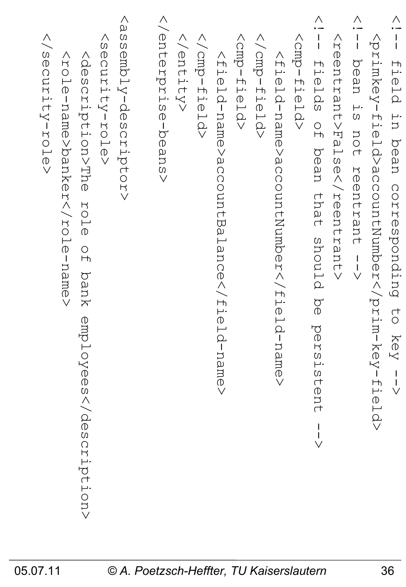| <assembly-descriptor><br/>Venterprise-bensy<br/><br/><br/> rmp-Held&gt;<br/><math>&lt;</math>prp-field&gt;<br/><br -itel-<br=""><aloritity-role><br/><br =ierel<br=""/>VOSSCRIPLISTRE DIE OF<br/>&lt;плецаниане/ассоситывцанов//плеца-<br/><field-name>accountNumber</field-name><br/>bank<br/>employeescription&gt;<br/>name&gt;</aloritity-role></br></assembly-descriptor> | vead<br>-- ly<br>$\begin{array}{c} \wedge \\ \hline \mathsf{I} \end{array}$<br><reentrant>False</reentrant><br><btimkey-field>accountrNumber<br/>field in bean corresponding to key<br/>Eields<br/>is not reentrant<br/><math>\frac{1}{2}</math><br/>bean<br/>that<br/>proup<br/><math display="block">\begin{array}{c} 1 \\ 1 \\ \sqrt{1} \end{array}</math><br/><math>\frac{1}{9}</math><br/>persistent<br/><math>\frac{1}{\sqrt{2}}</math></btimkey-field> |
|-------------------------------------------------------------------------------------------------------------------------------------------------------------------------------------------------------------------------------------------------------------------------------------------------------------------------------------------------------------------------------|---------------------------------------------------------------------------------------------------------------------------------------------------------------------------------------------------------------------------------------------------------------------------------------------------------------------------------------------------------------------------------------------------------------------------------------------------------------|
|-------------------------------------------------------------------------------------------------------------------------------------------------------------------------------------------------------------------------------------------------------------------------------------------------------------------------------------------------------------------------------|---------------------------------------------------------------------------------------------------------------------------------------------------------------------------------------------------------------------------------------------------------------------------------------------------------------------------------------------------------------------------------------------------------------------------------------------------------------|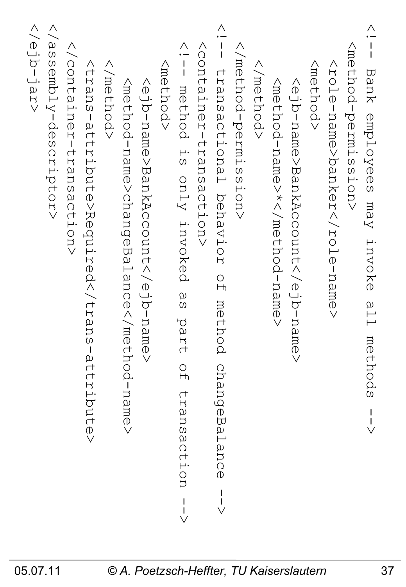| >prodity-descriptor><br><rejb-jar><br/><b>Y/COntainer-transaction&gt;</b><br/><trans-attribute>Required</trans-attribute><br/><br <br=""/> method&gt;<br/><method-name>changeBalance</method-name><br/><ejb-name>BankAccount<th><math display="block">\frac{1}{1}</math><br><b>NORTEBRUSBOCTIONS</b><br/><method><br/>method is only invoked<br/>α<br/>Θ<br/>part<br/><math>\frac{0}{1}</math><br/>transaction</method></br></th><th><math>\frac{\wedge}{\sqrt{1}}</math><br/><br/> refrod-permission&gt;<br/>transactional behavior<br/><br <br=""> method&gt;<br/><math>\frac{1}{2}</math><br/>method<br>changeBalance</br></br></th><th><nethod><br/><mのf amの="" hod="" n="" –=""> *&lt; / mのf hod – n amの&gt;<br/><ejb-name>BankAccount</ejb-name></mのf></nethod></th><th>&lt; -<br/>- I<br/>- I<br/><nethod-permission><br/>Bank employees may invoke<br/><role-name>banker</role-name><br/>all.<br/>methods</nethod-permission></th></ejb-name></rejb-jar> | $\frac{1}{1}$<br> | $\frac{\wedge}{\sqrt{1}}$<br><br>refrod-permission><br>transactional behavior<br><br> | <nethod><br/><mのf amの="" hod="" n="" –=""> *&lt; / mのf hod – n amの&gt;<br/><ejb-name>BankAccount</ejb-name></mのf></nethod> | < -<br>- I<br>- I<br><nethod-permission><br/>Bank employees may invoke<br/><role-name>banker</role-name><br/>all.<br/>methods</nethod-permission> |
|------------------------------------------------------------------------------------------------------------------------------------------------------------------------------------------------------------------------------------------------------------------------------------------------------------------------------------------------------------------------------------------------------------------------------------------------------------------------------------------------------------------------------------------------------------------------------------------------------------------------------------------------------------------------------------------------------------------------------------------------------------------------------------------------------------------------------------------------------------------------------------------------------------------------------------------------------------------|-------------------|---------------------------------------------------------------------------------------|----------------------------------------------------------------------------------------------------------------------------|---------------------------------------------------------------------------------------------------------------------------------------------------|
|------------------------------------------------------------------------------------------------------------------------------------------------------------------------------------------------------------------------------------------------------------------------------------------------------------------------------------------------------------------------------------------------------------------------------------------------------------------------------------------------------------------------------------------------------------------------------------------------------------------------------------------------------------------------------------------------------------------------------------------------------------------------------------------------------------------------------------------------------------------------------------------------------------------------------------------------------------------|-------------------|---------------------------------------------------------------------------------------|----------------------------------------------------------------------------------------------------------------------------|---------------------------------------------------------------------------------------------------------------------------------------------------|

 $\vee$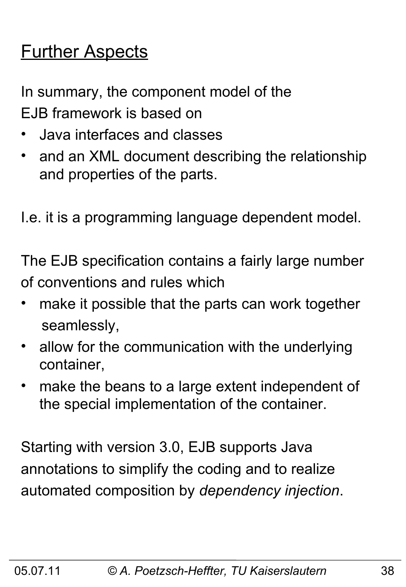## **Further Aspects**

In summary, the component model of the EJB framework is based on

- Java interfaces and classes
- and an XML document describing the relationship and properties of the parts.

I.e. it is a programming language dependent model.

The EJB specification contains a fairly large number of conventions and rules which

- make it possible that the parts can work together seamlessly,
- allow for the communication with the underlying container,
- make the beans to a large extent independent of the special implementation of the container.

Starting with version 3.0, EJB supports Java annotations to simplify the coding and to realize automated composition by *dependency injection*.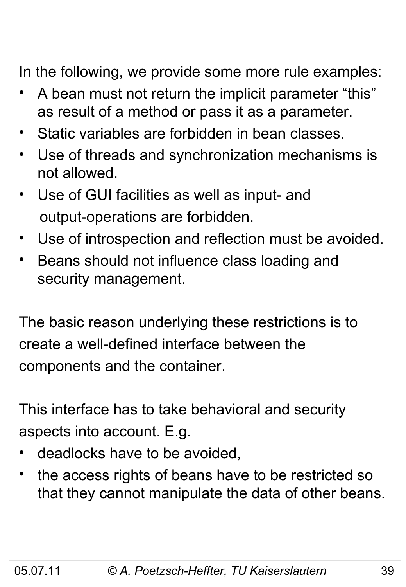In the following, we provide some more rule examples:

- A bean must not return the implicit parameter "this" as result of a method or pass it as a parameter.
- Static variables are forbidden in bean classes.
- Use of threads and synchronization mechanisms is not allowed.
- Use of GUI facilities as well as input- and output-operations are forbidden.
- Use of introspection and reflection must be avoided.
- Beans should not influence class loading and security management.

The basic reason underlying these restrictions is to create a well-defined interface between the components and the container.

This interface has to take behavioral and security aspects into account. E.g.

- deadlocks have to be avoided,
- the access rights of beans have to be restricted so that they cannot manipulate the data of other beans.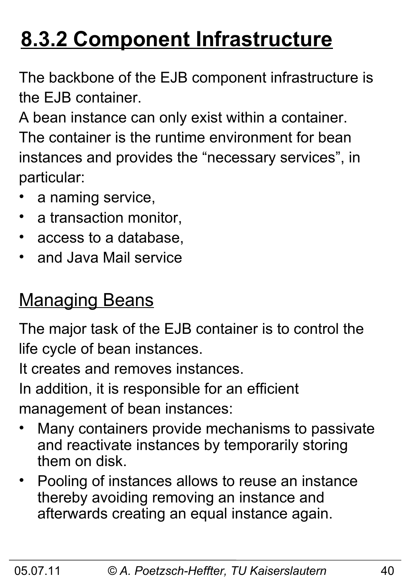## **8.3.2 Component Infrastructure**

The backbone of the EJB component infrastructure is the EJB container.

A bean instance can only exist within a container. The container is the runtime environment for bean instances and provides the "necessary services", in particular:

- a naming service,
- a transaction monitor,
- access to a database,
- and Java Mail service

### **Managing Beans**

The major task of the EJB container is to control the life cycle of bean instances.

It creates and removes instances.

In addition, it is responsible for an efficient management of bean instances:

- Many containers provide mechanisms to passivate and reactivate instances by temporarily storing them on disk.
- Pooling of instances allows to reuse an instance thereby avoiding removing an instance and afterwards creating an equal instance again.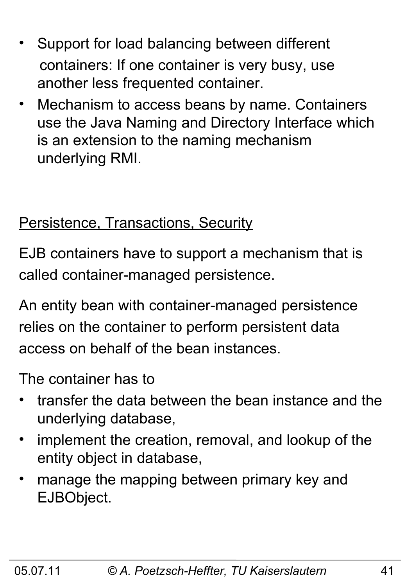- Support for load balancing between different containers: If one container is very busy, use another less frequented container.
- Mechanism to access beans by name. Containers use the Java Naming and Directory Interface which is an extension to the naming mechanism underlying RMI.

#### Persistence, Transactions, Security

EJB containers have to support a mechanism that is called container-managed persistence.

An entity bean with container-managed persistence relies on the container to perform persistent data access on behalf of the bean instances.

The container has to

- transfer the data between the bean instance and the underlying database,
- implement the creation, removal, and lookup of the entity object in database,
- manage the mapping between primary key and EJBObject.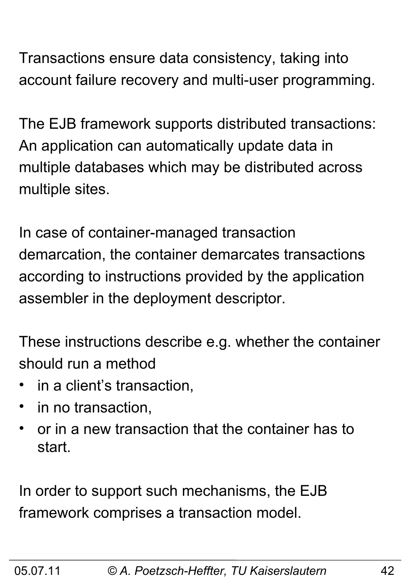Transactions ensure data consistency, taking into account failure recovery and multi-user programming.

The EJB framework supports distributed transactions: An application can automatically update data in multiple databases which may be distributed across multiple sites.

In case of container-managed transaction demarcation, the container demarcates transactions according to instructions provided by the application assembler in the deployment descriptor.

These instructions describe e.g. whether the container should run a method

- in a client's transaction,
- in no transaction,
- or in a new transaction that the container has to start.

In order to support such mechanisms, the EJB framework comprises a transaction model.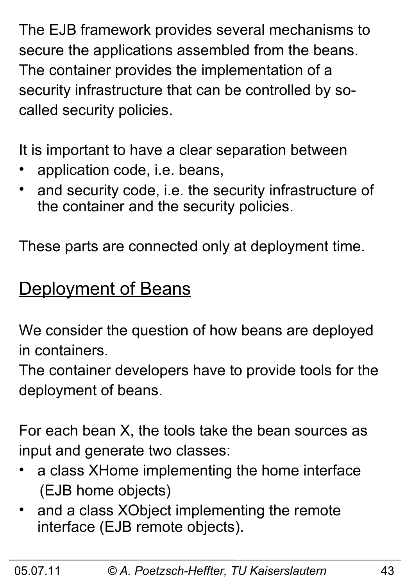The EJB framework provides several mechanisms to secure the applications assembled from the beans. The container provides the implementation of a security infrastructure that can be controlled by socalled security policies.

It is important to have a clear separation between

- application code, i.e. beans,
- and security code, i.e. the security infrastructure of the container and the security policies.

These parts are connected only at deployment time.

### Deployment of Beans

We consider the question of how beans are deployed in containers.

The container developers have to provide tools for the deployment of beans.

For each bean X, the tools take the bean sources as input and generate two classes:

- a class XHome implementing the home interface (EJB home objects)
- and a class XObject implementing the remote interface (EJB remote objects).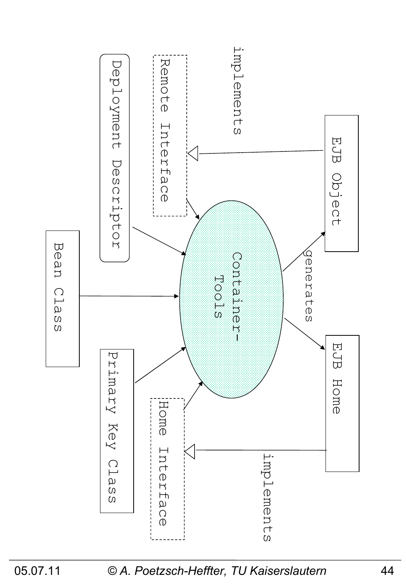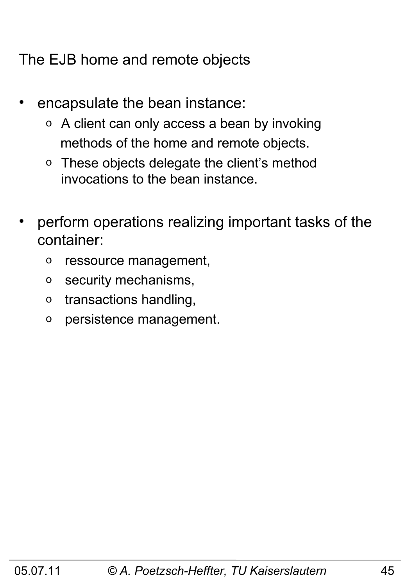The EJB home and remote objects

- encapsulate the bean instance:
	- o A client can only access a bean by invoking methods of the home and remote objects.
	- o These objects delegate the client's method invocations to the bean instance.
- perform operations realizing important tasks of the container:
	- o ressource management,
	- o security mechanisms,
	- o transactions handling,
	- o persistence management.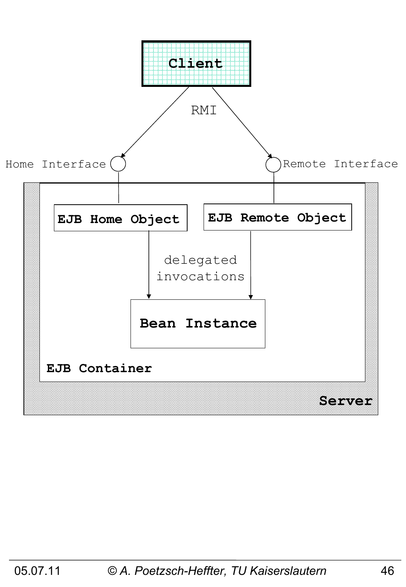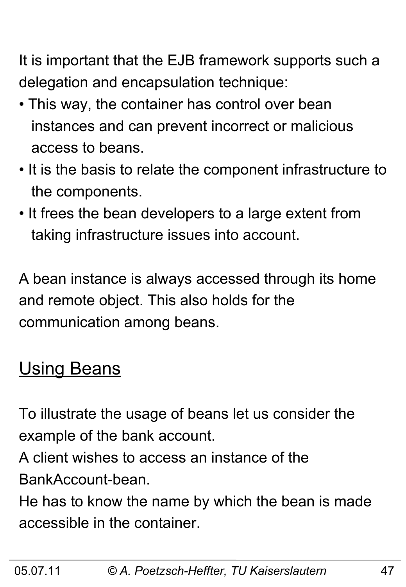It is important that the EJB framework supports such a delegation and encapsulation technique:

- This way, the container has control over bean instances and can prevent incorrect or malicious access to beans.
- It is the basis to relate the component infrastructure to the components.
- It frees the bean developers to a large extent from taking infrastructure issues into account.

A bean instance is always accessed through its home and remote object. This also holds for the communication among beans.

### **Using Beans**

To illustrate the usage of beans let us consider the example of the bank account.

A client wishes to access an instance of the BankAccount-bean.

He has to know the name by which the bean is made accessible in the container.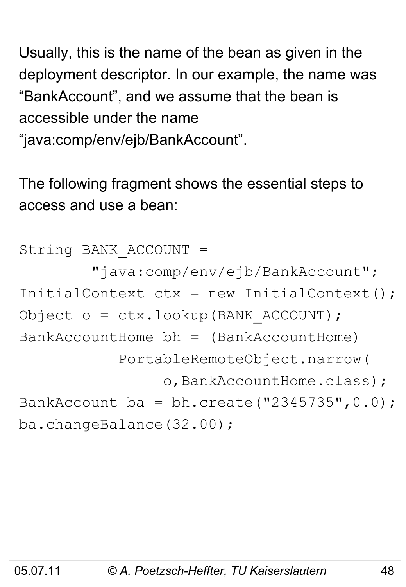Usually, this is the name of the bean as given in the deployment descriptor. In our example, the name was "BankAccount", and we assume that the bean is accessible under the name

"java:comp/env/ejb/BankAccount".

The following fragment shows the essential steps to access and use a bean:

```
String BANK_ACCOUNT = 
         "java:comp/env/ejb/BankAccount";
InitialContext ctx = new InitialContext();
Object o = ctx.lookup(BANK_ACCOUNT);
BankAccountHome bh = (BankAccountHome) PortableRemoteObject.narrow(
                o, BankAccountHome.class);
BankAccount ba = bh.create("2345735", 0.0);
ba.changeBalance(32.00);
```